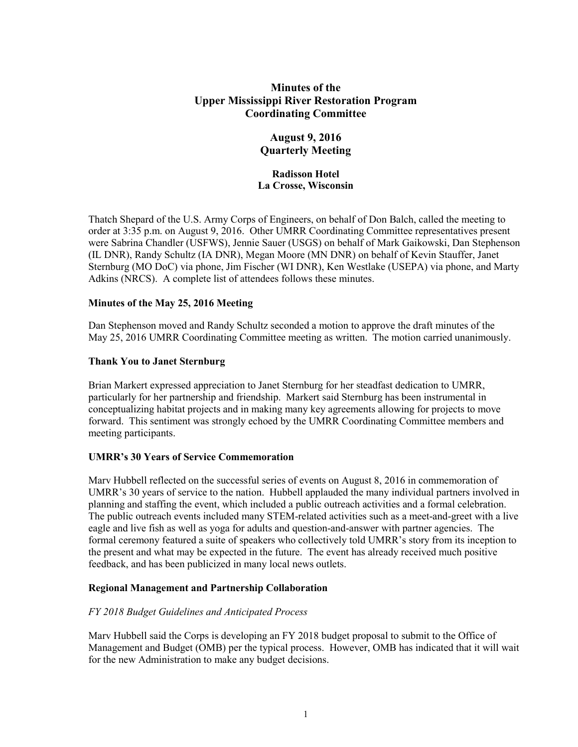# **Minutes of the Upper Mississippi River Restoration Program Coordinating Committee**

## **August 9, 2016 Quarterly Meeting**

## **Radisson Hotel La Crosse, Wisconsin**

Thatch Shepard of the U.S. Army Corps of Engineers, on behalf of Don Balch, called the meeting to order at 3:35 p.m. on August 9, 2016. Other UMRR Coordinating Committee representatives present were Sabrina Chandler (USFWS), Jennie Sauer (USGS) on behalf of Mark Gaikowski, Dan Stephenson (IL DNR), Randy Schultz (IA DNR), Megan Moore (MN DNR) on behalf of Kevin Stauffer, Janet Sternburg (MO DoC) via phone, Jim Fischer (WI DNR), Ken Westlake (USEPA) via phone, and Marty Adkins (NRCS). A complete list of attendees follows these minutes.

## **Minutes of the May 25, 2016 Meeting**

Dan Stephenson moved and Randy Schultz seconded a motion to approve the draft minutes of the May 25, 2016 UMRR Coordinating Committee meeting as written. The motion carried unanimously.

## **Thank You to Janet Sternburg**

Brian Markert expressed appreciation to Janet Sternburg for her steadfast dedication to UMRR, particularly for her partnership and friendship. Markert said Sternburg has been instrumental in conceptualizing habitat projects and in making many key agreements allowing for projects to move forward. This sentiment was strongly echoed by the UMRR Coordinating Committee members and meeting participants.

## **UMRR's 30 Years of Service Commemoration**

Marv Hubbell reflected on the successful series of events on August 8, 2016 in commemoration of UMRR's 30 years of service to the nation. Hubbell applauded the many individual partners involved in planning and staffing the event, which included a public outreach activities and a formal celebration. The public outreach events included many STEM-related activities such as a meet-and-greet with a live eagle and live fish as well as yoga for adults and question-and-answer with partner agencies. The formal ceremony featured a suite of speakers who collectively told UMRR's story from its inception to the present and what may be expected in the future. The event has already received much positive feedback, and has been publicized in many local news outlets.

## **Regional Management and Partnership Collaboration**

### *FY 2018 Budget Guidelines and Anticipated Process*

Marv Hubbell said the Corps is developing an FY 2018 budget proposal to submit to the Office of Management and Budget (OMB) per the typical process. However, OMB has indicated that it will wait for the new Administration to make any budget decisions.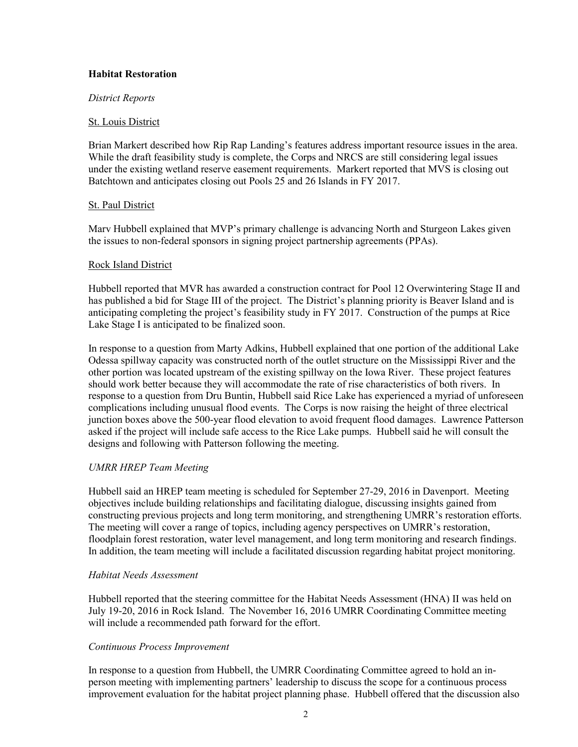### **Habitat Restoration**

### *District Reports*

### St. Louis District

Brian Markert described how Rip Rap Landing's features address important resource issues in the area. While the draft feasibility study is complete, the Corps and NRCS are still considering legal issues under the existing wetland reserve easement requirements. Markert reported that MVS is closing out Batchtown and anticipates closing out Pools 25 and 26 Islands in FY 2017.

## St. Paul District

Marv Hubbell explained that MVP's primary challenge is advancing North and Sturgeon Lakes given the issues to non-federal sponsors in signing project partnership agreements (PPAs).

## Rock Island District

Hubbell reported that MVR has awarded a construction contract for Pool 12 Overwintering Stage II and has published a bid for Stage III of the project. The District's planning priority is Beaver Island and is anticipating completing the project's feasibility study in FY 2017. Construction of the pumps at Rice Lake Stage I is anticipated to be finalized soon.

In response to a question from Marty Adkins, Hubbell explained that one portion of the additional Lake Odessa spillway capacity was constructed north of the outlet structure on the Mississippi River and the other portion was located upstream of the existing spillway on the Iowa River. These project features should work better because they will accommodate the rate of rise characteristics of both rivers. In response to a question from Dru Buntin, Hubbell said Rice Lake has experienced a myriad of unforeseen complications including unusual flood events. The Corps is now raising the height of three electrical junction boxes above the 500-year flood elevation to avoid frequent flood damages. Lawrence Patterson asked if the project will include safe access to the Rice Lake pumps. Hubbell said he will consult the designs and following with Patterson following the meeting.

## *UMRR HREP Team Meeting*

Hubbell said an HREP team meeting is scheduled for September 27-29, 2016 in Davenport. Meeting objectives include building relationships and facilitating dialogue, discussing insights gained from constructing previous projects and long term monitoring, and strengthening UMRR's restoration efforts. The meeting will cover a range of topics, including agency perspectives on UMRR's restoration, floodplain forest restoration, water level management, and long term monitoring and research findings. In addition, the team meeting will include a facilitated discussion regarding habitat project monitoring.

### *Habitat Needs Assessment*

Hubbell reported that the steering committee for the Habitat Needs Assessment (HNA) II was held on July 19-20, 2016 in Rock Island. The November 16, 2016 UMRR Coordinating Committee meeting will include a recommended path forward for the effort.

### *Continuous Process Improvement*

In response to a question from Hubbell, the UMRR Coordinating Committee agreed to hold an inperson meeting with implementing partners' leadership to discuss the scope for a continuous process improvement evaluation for the habitat project planning phase. Hubbell offered that the discussion also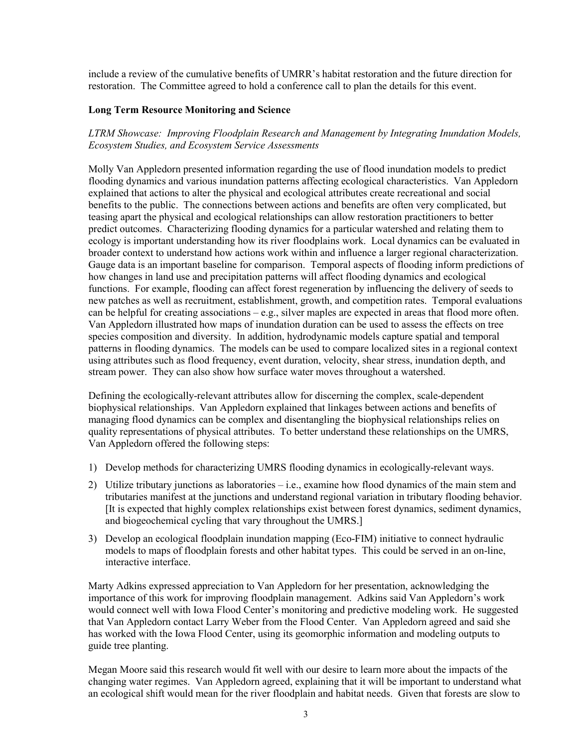include a review of the cumulative benefits of UMRR's habitat restoration and the future direction for restoration. The Committee agreed to hold a conference call to plan the details for this event.

## **Long Term Resource Monitoring and Science**

*LTRM Showcase: Improving Floodplain Research and Management by Integrating Inundation Models, Ecosystem Studies, and Ecosystem Service Assessments*

Molly Van Appledorn presented information regarding the use of flood inundation models to predict flooding dynamics and various inundation patterns affecting ecological characteristics. Van Appledorn explained that actions to alter the physical and ecological attributes create recreational and social benefits to the public. The connections between actions and benefits are often very complicated, but teasing apart the physical and ecological relationships can allow restoration practitioners to better predict outcomes. Characterizing flooding dynamics for a particular watershed and relating them to ecology is important understanding how its river floodplains work. Local dynamics can be evaluated in broader context to understand how actions work within and influence a larger regional characterization. Gauge data is an important baseline for comparison. Temporal aspects of flooding inform predictions of how changes in land use and precipitation patterns will affect flooding dynamics and ecological functions. For example, flooding can affect forest regeneration by influencing the delivery of seeds to new patches as well as recruitment, establishment, growth, and competition rates. Temporal evaluations can be helpful for creating associations  $-\mathbf{e}$ , silver maples are expected in areas that flood more often. Van Appledorn illustrated how maps of inundation duration can be used to assess the effects on tree species composition and diversity. In addition, hydrodynamic models capture spatial and temporal patterns in flooding dynamics. The models can be used to compare localized sites in a regional context using attributes such as flood frequency, event duration, velocity, shear stress, inundation depth, and stream power. They can also show how surface water moves throughout a watershed.

Defining the ecologically-relevant attributes allow for discerning the complex, scale-dependent biophysical relationships. Van Appledorn explained that linkages between actions and benefits of managing flood dynamics can be complex and disentangling the biophysical relationships relies on quality representations of physical attributes. To better understand these relationships on the UMRS, Van Appledorn offered the following steps:

- 1) Develop methods for characterizing UMRS flooding dynamics in ecologically-relevant ways.
- 2) Utilize tributary junctions as laboratories i.e., examine how flood dynamics of the main stem and tributaries manifest at the junctions and understand regional variation in tributary flooding behavior. [It is expected that highly complex relationships exist between forest dynamics, sediment dynamics, and biogeochemical cycling that vary throughout the UMRS.]
- 3) Develop an ecological floodplain inundation mapping (Eco-FIM) initiative to connect hydraulic models to maps of floodplain forests and other habitat types. This could be served in an on-line, interactive interface.

Marty Adkins expressed appreciation to Van Appledorn for her presentation, acknowledging the importance of this work for improving floodplain management. Adkins said Van Appledorn's work would connect well with Iowa Flood Center's monitoring and predictive modeling work. He suggested that Van Appledorn contact Larry Weber from the Flood Center. Van Appledorn agreed and said she has worked with the Iowa Flood Center, using its geomorphic information and modeling outputs to guide tree planting.

Megan Moore said this research would fit well with our desire to learn more about the impacts of the changing water regimes. Van Appledorn agreed, explaining that it will be important to understand what an ecological shift would mean for the river floodplain and habitat needs. Given that forests are slow to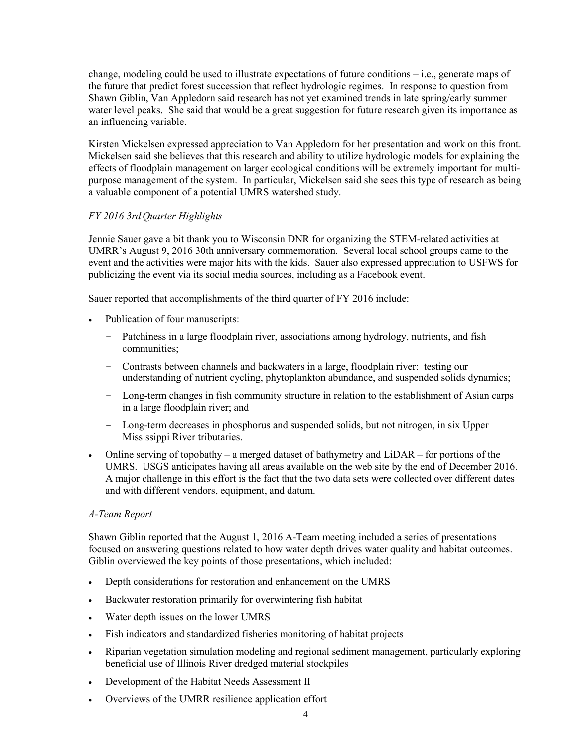change, modeling could be used to illustrate expectations of future conditions – i.e., generate maps of the future that predict forest succession that reflect hydrologic regimes. In response to question from Shawn Giblin, Van Appledorn said research has not yet examined trends in late spring/early summer water level peaks. She said that would be a great suggestion for future research given its importance as an influencing variable.

Kirsten Mickelsen expressed appreciation to Van Appledorn for her presentation and work on this front. Mickelsen said she believes that this research and ability to utilize hydrologic models for explaining the effects of floodplain management on larger ecological conditions will be extremely important for multipurpose management of the system. In particular, Mickelsen said she sees this type of research as being a valuable component of a potential UMRS watershed study.

## *FY 2016 3rd Quarter Highlights*

Jennie Sauer gave a bit thank you to Wisconsin DNR for organizing the STEM-related activities at UMRR's August 9, 2016 30th anniversary commemoration. Several local school groups came to the event and the activities were major hits with the kids. Sauer also expressed appreciation to USFWS for publicizing the event via its social media sources, including as a Facebook event.

Sauer reported that accomplishments of the third quarter of FY 2016 include:

- Publication of four manuscripts:
	- Patchiness in a large floodplain river, associations among hydrology, nutrients, and fish communities;
	- Contrasts between channels and backwaters in a large, floodplain river: testing our understanding of nutrient cycling, phytoplankton abundance, and suspended solids dynamics;
	- Long-term changes in fish community structure in relation to the establishment of Asian carps in a large floodplain river; and
	- Long-term decreases in phosphorus and suspended solids, but not nitrogen, in six Upper Mississippi River tributaries.
- Online serving of topobathy a merged dataset of bathymetry and  $LIDAR -$  for portions of the UMRS. USGS anticipates having all areas available on the web site by the end of December 2016. A major challenge in this effort is the fact that the two data sets were collected over different dates and with different vendors, equipment, and datum.

### *A-Team Report*

Shawn Giblin reported that the August 1, 2016 A-Team meeting included a series of presentations focused on answering questions related to how water depth drives water quality and habitat outcomes. Giblin overviewed the key points of those presentations, which included:

- Depth considerations for restoration and enhancement on the UMRS
- Backwater restoration primarily for overwintering fish habitat
- Water depth issues on the lower UMRS
- Fish indicators and standardized fisheries monitoring of habitat projects
- Riparian vegetation simulation modeling and regional sediment management, particularly exploring beneficial use of Illinois River dredged material stockpiles
- Development of the Habitat Needs Assessment II
- Overviews of the UMRR resilience application effort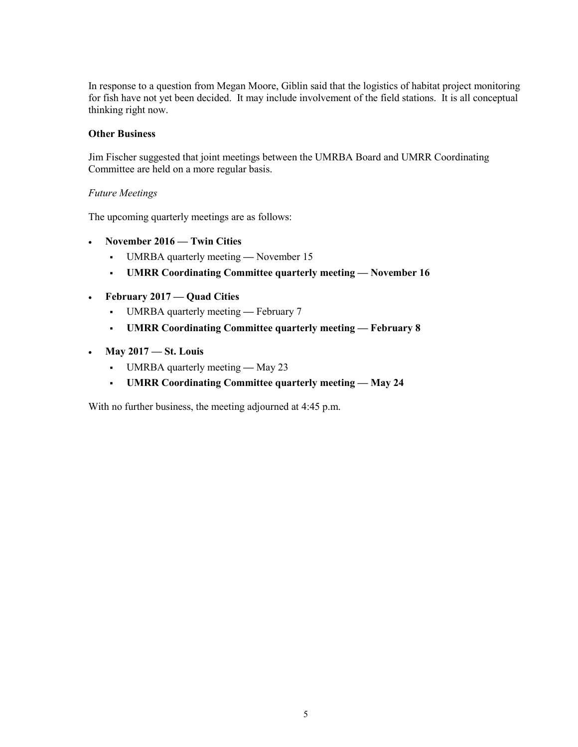In response to a question from Megan Moore, Giblin said that the logistics of habitat project monitoring for fish have not yet been decided. It may include involvement of the field stations. It is all conceptual thinking right now.

### **Other Business**

Jim Fischer suggested that joint meetings between the UMRBA Board and UMRR Coordinating Committee are held on a more regular basis.

## *Future Meetings*

The upcoming quarterly meetings are as follows:

- **November 2016 Twin Cities**
	- UMRBA quarterly meeting **—** November 15
	- **UMRR Coordinating Committee quarterly meeting November 16**
- **February 2017 Quad Cities**
	- UMRBA quarterly meeting February 7
	- **UMRR Coordinating Committee quarterly meeting February 8**
- **May 2017 St. Louis** 
	- UMRBA quarterly meeting May 23
	- **UMRR Coordinating Committee quarterly meeting May 24**

With no further business, the meeting adjourned at 4:45 p.m.